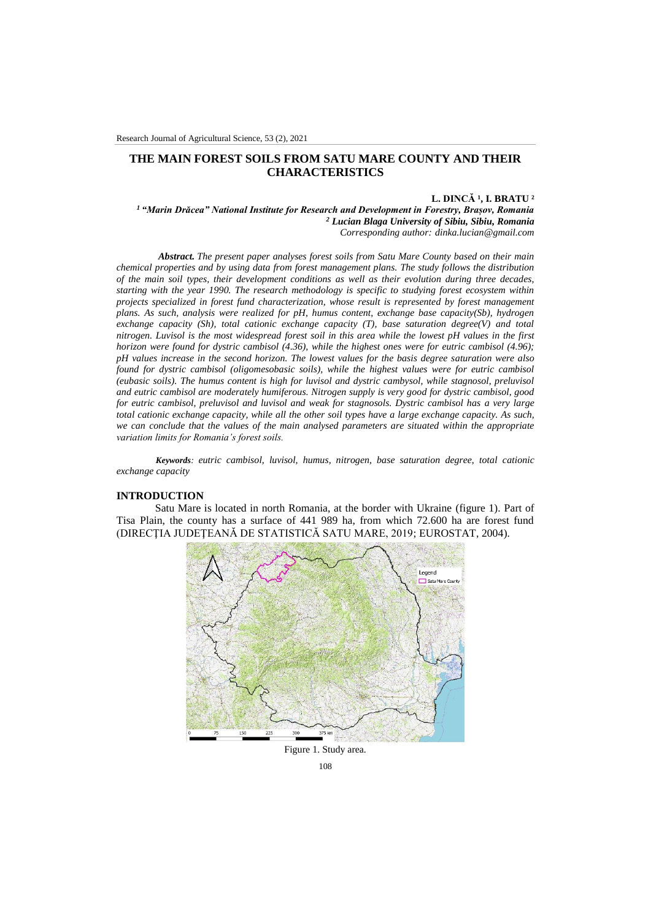# **THE MAIN FOREST SOILS FROM SATU MARE COUNTY AND THEIR CHARACTERISTICS**

#### **L. DINCĂ ¹, I. BRATU ²**

*<sup>1</sup> "Marin Drăcea" National Institute for Research and Development in Forestry, Brașov, Romania <sup>2</sup> Lucian Blaga University of Sibiu, Sibiu, Romania Corresponding author: dinka.lucian@gmail.com*

*Abstract. The present paper analyses forest soils from Satu Mare County based on their main chemical properties and by using data from forest management plans. The study follows the distribution of the main soil types, their development conditions as well as their evolution during three decades, starting with the year 1990. The research methodology is specific to studying forest ecosystem within projects specialized in forest fund characterization, whose result is represented by forest management plans. As such, analysis were realized for pH, humus content, exchange base capacity(Sb), hydrogen exchange capacity (Sh), total cationic exchange capacity (T), base saturation degree(V) and total nitrogen. Luvisol is the most widespread forest soil in this area while the lowest pH values in the first horizon were found for dystric cambisol (4.36), while the highest ones were for eutric cambisol (4.96); pH values increase in the second horizon. The lowest values for the basis degree saturation were also found for dystric cambisol (oligomesobasic soils), while the highest values were for eutric cambisol (eubasic soils). The humus content is high for luvisol and dystric cambysol, while stagnosol, preluvisol and eutric cambisol are moderately humiferous. Nitrogen supply is very good for dystric cambisol, good for eutric cambisol, preluvisol and luvisol and weak for stagnosols. Dystric cambisol has a very large total cationic exchange capacity, while all the other soil types have a large exchange capacity. As such, we can conclude that the values of the main analysed parameters are situated within the appropriate variation limits for Romania's forest soils.*

*Keywords: eutric cambisol, luvisol, humus, nitrogen, base saturation degree, total cationic exchange capacity*

#### **INTRODUCTION**

Satu Mare is located in north Romania, at the border with Ukraine (figure 1). Part of Tisa Plain, the county has a surface of 441 989 ha, from which 72.600 ha are forest fund (DIRECŢIA JUDEŢEANĂ DE STATISTICĂ SATU MARE, 2019; EUROSTAT, 2004).



108 Figure 1. Study area.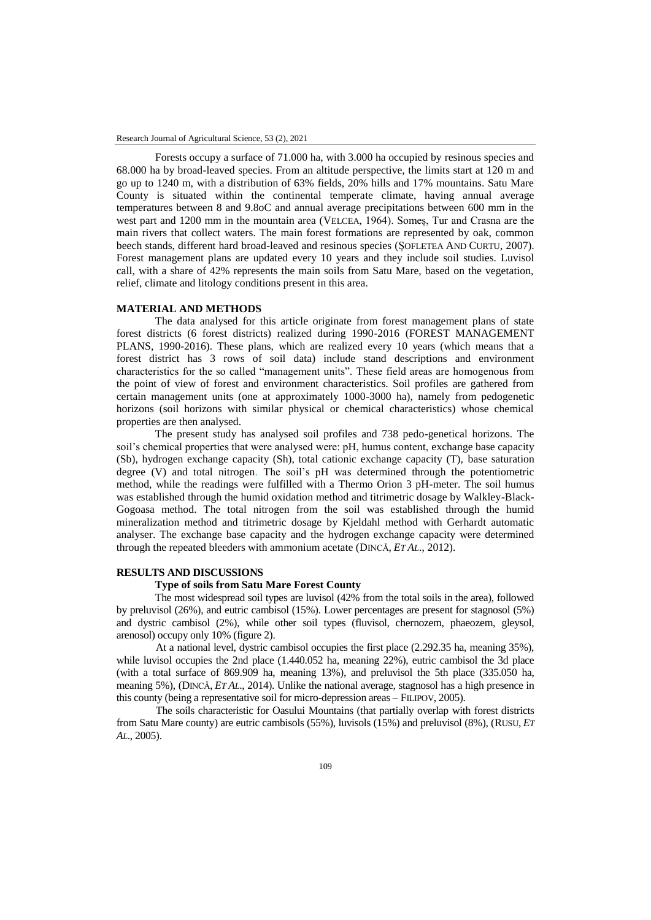Forests occupy a surface of 71.000 ha, with 3.000 ha occupied by resinous species and 68.000 ha by broad-leaved species. From an altitude perspective, the limits start at 120 m and go up to 1240 m, with a distribution of 63% fields, 20% hills and 17% mountains. Satu Mare County is situated within the continental temperate climate, having annual average temperatures between 8 and 9.8oC and annual average precipitations between 600 mm in the west part and 1200 mm in the mountain area (VELCEA, 1964). Someș, Tur and Crasna are the main rivers that collect waters. The main forest formations are represented by oak, common beech stands, different hard broad-leaved and resinous species (ȘOFLETEA AND CURTU, 2007). Forest management plans are updated every 10 years and they include soil studies. Luvisol call, with a share of 42% represents the main soils from Satu Mare, based on the vegetation, relief, climate and litology conditions present in this area.

# **MATERIAL AND METHODS**

The data analysed for this article originate from forest management plans of state forest districts (6 forest districts) realized during 1990-2016 (FOREST MANAGEMENT PLANS, 1990-2016). These plans, which are realized every 10 years (which means that a forest district has 3 rows of soil data) include stand descriptions and environment characteristics for the so called "management units". These field areas are homogenous from the point of view of forest and environment characteristics. Soil profiles are gathered from certain management units (one at approximately 1000-3000 ha), namely from pedogenetic horizons (soil horizons with similar physical or chemical characteristics) whose chemical properties are then analysed.

The present study has analysed soil profiles and 738 pedo-genetical horizons. The soil's chemical properties that were analysed were: pH, humus content, exchange base capacity (Sb), hydrogen exchange capacity (Sh), total cationic exchange capacity (T), base saturation degree (V) and total nitrogen. The soil's pH was determined through the potentiometric method, while the readings were fulfilled with a Thermo Orion 3 pH-meter. The soil humus was established through the humid oxidation method and titrimetric dosage by Walkley-Black-Gogoasa method. The total nitrogen from the soil was established through the humid mineralization method and titrimetric dosage by Kjeldahl method with Gerhardt automatic analyser. The exchange base capacity and the hydrogen exchange capacity were determined through the repeated bleeders with ammonium acetate (DINCĂ, *ET AL*., 2012).

### **RESULTS AND DISCUSSIONS**

### **Type of soils from Satu Mare Forest County**

The most widespread soil types are luvisol (42% from the total soils in the area), followed by preluvisol (26%), and eutric cambisol (15%). Lower percentages are present for stagnosol (5%) and dystric cambisol (2%), while other soil types (fluvisol, chernozem, phaeozem, gleysol, arenosol) occupy only 10% (figure 2).

At a national level, dystric cambisol occupies the first place (2.292.35 ha, meaning 35%), while luvisol occupies the 2nd place (1.440.052 ha, meaning 22%), eutric cambisol the 3d place (with a total surface of 869.909 ha, meaning 13%), and preluvisol the 5th place (335.050 ha, meaning 5%), (DINCĂ, *ET AL*., 2014). Unlike the national average, stagnosol has a high presence in this county (being a representative soil for micro-depression areas – FILIPOV, 2005).

The soils characteristic for Oasului Mountains (that partially overlap with forest districts from Satu Mare county) are eutric cambisols (55%), luvisols (15%) and preluvisol (8%), (RUSU, *ET AL*., 2005).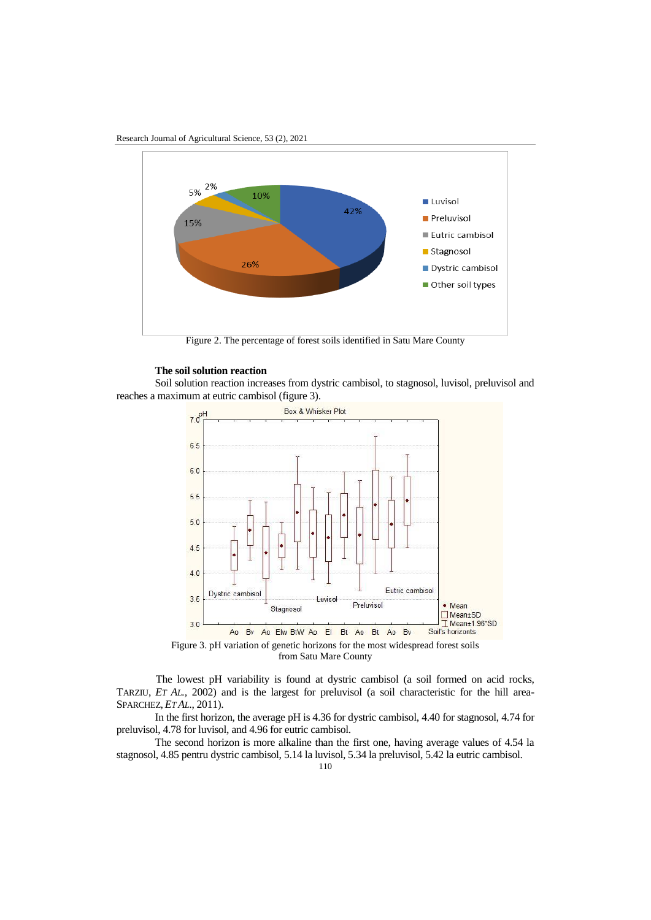Research Journal of Agricultural Science, 53 (2), 2021



Figure 2. The percentage of forest soils identified in Satu Mare County

#### **The soil solution reaction**

Soil solution reaction increases from dystric cambisol, to stagnosol, luvisol, preluvisol and reaches a maximum at eutric cambisol (figure 3).



Figure 3. pH variation of genetic horizons for the most widespread forest soils from Satu Mare County

The lowest pH variability is found at dystric cambisol (a soil formed on acid rocks, TARZIU, *ET AL.,* 2002) and is the largest for preluvisol (a soil characteristic for the hill area-SPARCHEZ, *ET AL*., 2011).

In the first horizon, the average pH is 4.36 for dystric cambisol, 4.40 for stagnosol, 4.74 for preluvisol, 4.78 for luvisol, and 4.96 for eutric cambisol.

The second horizon is more alkaline than the first one, having average values of 4.54 la stagnosol, 4.85 pentru dystric cambisol, 5.14 la luvisol, 5.34 la preluvisol, 5.42 la eutric cambisol.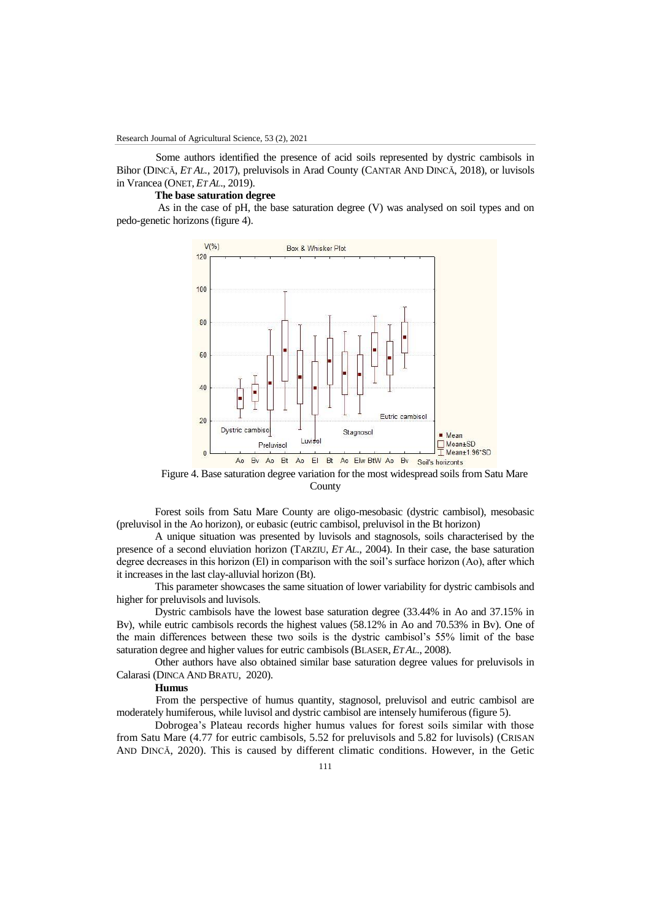Some authors identified the presence of acid soils represented by dystric cambisols in Bihor (DINCĂ, *ET AL.,* 2017), preluvisols in Arad County (CANTAR AND DINCĂ, 2018), or luvisols in Vrancea (ONET, *ET AL*., 2019).

#### **The base saturation degree**

As in the case of pH, the base saturation degree (V) was analysed on soil types and on pedo-genetic horizons (figure 4).



Figure 4. Base saturation degree variation for the most widespread soils from Satu Mare County

Forest soils from Satu Mare County are oligo-mesobasic (dystric cambisol), mesobasic (preluvisol in the Ao horizon), or eubasic (eutric cambisol, preluvisol in the Bt horizon)

A unique situation was presented by luvisols and stagnosols, soils characterised by the presence of a second eluviation horizon (TARZIU, *ET AL*., 2004). In their case, the base saturation degree decreases in this horizon (El) in comparison with the soil's surface horizon (Ao), after which it increases in the last clay-alluvial horizon (Bt).

This parameter showcases the same situation of lower variability for dystric cambisols and higher for preluvisols and luvisols.

Dystric cambisols have the lowest base saturation degree (33.44% in Ao and 37.15% in Bv), while eutric cambisols records the highest values (58.12% in Ao and 70.53% in Bv). One of the main differences between these two soils is the dystric cambisol's 55% limit of the base saturation degree and higher values for eutric cambisols (BLASER, *ET AL*., 2008).

Other authors have also obtained similar base saturation degree values for preluvisols in Calarasi (DINCA AND BRATU, 2020).

# **Humus**

From the perspective of humus quantity, stagnosol, preluvisol and eutric cambisol are moderately humiferous, while luvisol and dystric cambisol are intensely humiferous (figure 5).

Dobrogea's Plateau records higher humus values for forest soils similar with those from Satu Mare (4.77 for eutric cambisols, 5.52 for preluvisols and 5.82 for luvisols) (CRISAN AND DINCĂ, 2020). This is caused by different climatic conditions. However, in the Getic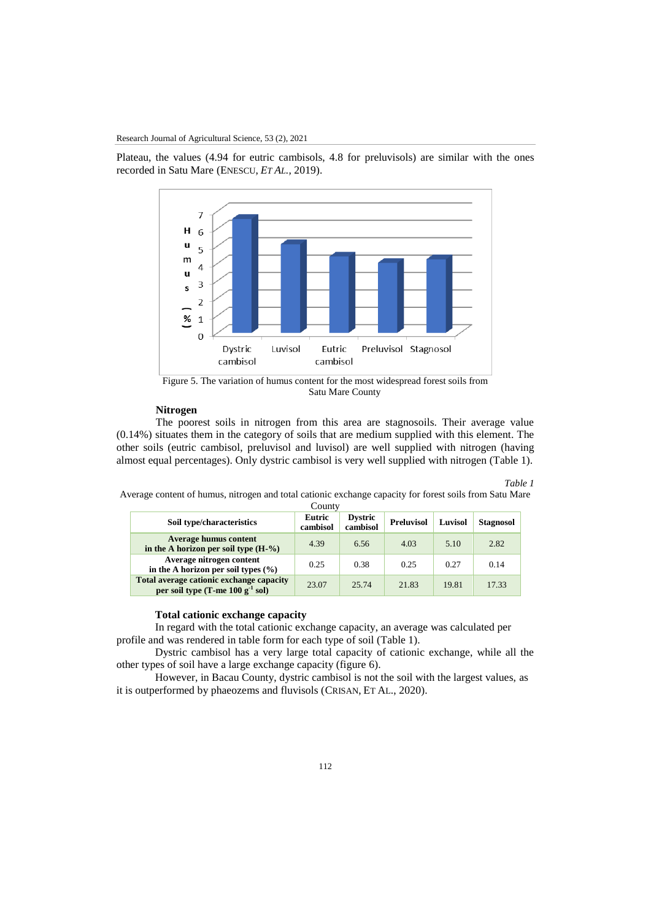Plateau, the values (4.94 for eutric cambisols, 4.8 for preluvisols) are similar with the ones recorded in Satu Mare (ENESCU, *ET AL.,* 2019).



Figure 5. The variation of humus content for the most widespread forest soils from Satu Mare County

# **Nitrogen**

The poorest soils in nitrogen from this area are stagnosoils. Their average value (0.14%) situates them in the category of soils that are medium supplied with this element. The other soils (eutric cambisol, preluvisol and luvisol) are well supplied with nitrogen (having almost equal percentages). Only dystric cambisol is very well supplied with nitrogen (Table 1).

#### *Table 1*

Average content of humus, nitrogen and total cationic exchange capacity for forest soils from Satu Mare

| County                                                                               |                    |                            |                   |         |           |
|--------------------------------------------------------------------------------------|--------------------|----------------------------|-------------------|---------|-----------|
| Soil type/characteristics                                                            | Eutric<br>cambisol | <b>Dystric</b><br>cambisol | <b>Preluvisol</b> | Luvisol | Stagnosol |
| <b>Average humus content</b><br>in the A horizon per soil type $(H-%)$               | 4.39               | 6.56                       | 4.03              | 5.10    | 2.82      |
| Average nitrogen content<br>in the A horizon per soil types $(\% )$                  | 0.25               | 0.38                       | 0.25              | 0.27    | 0.14      |
| Total average cationic exchange capacity<br>per soil type $(T$ -me $100 g^{-1}$ sol) | 23.07              | 25.74                      | 21.83             | 19.81   | 17.33     |

### **Total cationic exchange capacity**

In regard with the total cationic exchange capacity, an average was calculated per profile and was rendered in table form for each type of soil (Table 1).

Dystric cambisol has a very large total capacity of cationic exchange, while all the other types of soil have a large exchange capacity (figure 6).

However, in Bacau County, dystric cambisol is not the soil with the largest values, as it is outperformed by phaeozems and fluvisols (CRISAN, ET AL., 2020).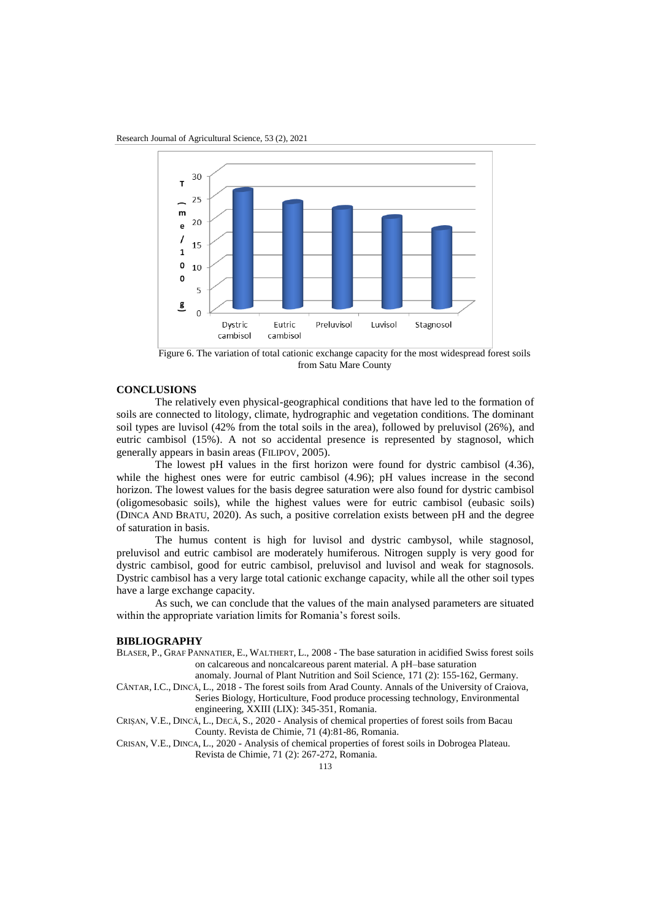

Figure 6. The variation of total cationic exchange capacity for the most widespread forest soils from Satu Mare County

# **CONCLUSIONS**

The relatively even physical-geographical conditions that have led to the formation of soils are connected to litology, climate, hydrographic and vegetation conditions. The dominant soil types are luvisol (42% from the total soils in the area), followed by preluvisol (26%), and eutric cambisol (15%). A not so accidental presence is represented by stagnosol, which generally appears in basin areas (FILIPOV, 2005).

The lowest pH values in the first horizon were found for dystric cambisol (4.36), while the highest ones were for eutric cambisol (4.96); pH values increase in the second horizon. The lowest values for the basis degree saturation were also found for dystric cambisol (oligomesobasic soils), while the highest values were for eutric cambisol (eubasic soils) (DINCA AND BRATU, 2020). As such, a positive correlation exists between pH and the degree of saturation in basis.

The humus content is high for luvisol and dystric cambysol, while stagnosol, preluvisol and eutric cambisol are moderately humiferous. Nitrogen supply is very good for dystric cambisol, good for eutric cambisol, preluvisol and luvisol and weak for stagnosols. Dystric cambisol has a very large total cationic exchange capacity, while all the other soil types have a large exchange capacity.

As such, we can conclude that the values of the main analysed parameters are situated within the appropriate variation limits for Romania's forest soils.

### **BIBLIOGRAPHY**

- BLASER, P., GRAF PANNATIER, E., WALTHERT, L., 2008 The base saturation in acidified Swiss forest soils on calcareous and noncalcareous parent material. A pH–base saturation anomaly. Journal of Plant Nutrition and Soil Science, 171 (2): 155-162, Germany.
- CÂNTAR, I.C., DINCĂ, L., 2018 The forest soils from Arad County. Annals of the University of Craiova, Series Biology, Horticulture, Food produce processing technology, Environmental engineering, XXIII (LIX): 345-351, Romania.
- CRIȘAN, V.E., DINCĂ, L., DECĂ, S., 2020 Analysis of chemical properties of forest soils from Bacau County. Revista de Chimie, 71 (4):81-86, Romania.
- CRISAN, V.E., DINCA, L., 2020 Analysis of chemical properties of forest soils in Dobrogea Plateau. Revista de Chimie, 71 (2): 267-272, Romania.